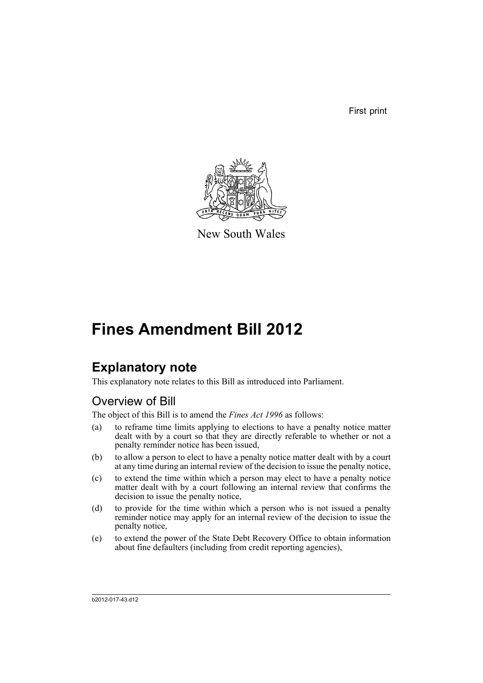First print



New South Wales

# **Fines Amendment Bill 2012**

## **Explanatory note**

This explanatory note relates to this Bill as introduced into Parliament.

## Overview of Bill

The object of this Bill is to amend the *Fines Act 1996* as follows:

- (a) to reframe time limits applying to elections to have a penalty notice matter dealt with by a court so that they are directly referable to whether or not a penalty reminder notice has been issued,
- (b) to allow a person to elect to have a penalty notice matter dealt with by a court at any time during an internal review of the decision to issue the penalty notice,
- (c) to extend the time within which a person may elect to have a penalty notice matter dealt with by a court following an internal review that confirms the decision to issue the penalty notice,
- (d) to provide for the time within which a person who is not issued a penalty reminder notice may apply for an internal review of the decision to issue the penalty notice,
- (e) to extend the power of the State Debt Recovery Office to obtain information about fine defaulters (including from credit reporting agencies),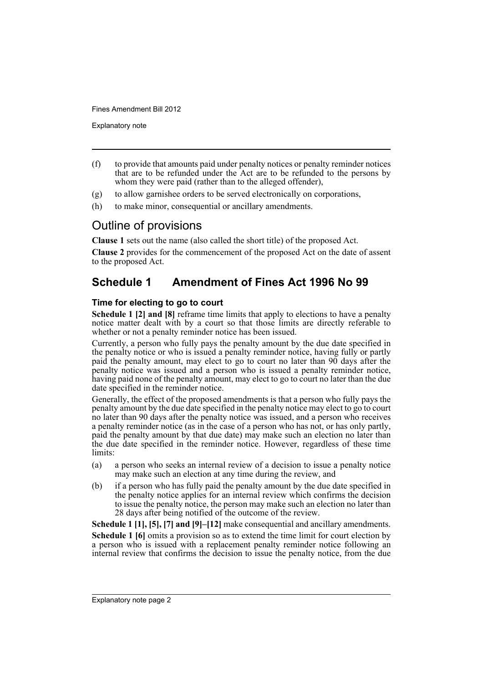Explanatory note

- (f) to provide that amounts paid under penalty notices or penalty reminder notices that are to be refunded under the Act are to be refunded to the persons by whom they were paid (rather than to the alleged offender),
- (g) to allow garnishee orders to be served electronically on corporations,
- (h) to make minor, consequential or ancillary amendments.

### Outline of provisions

**Clause 1** sets out the name (also called the short title) of the proposed Act.

**Clause 2** provides for the commencement of the proposed Act on the date of assent to the proposed Act.

## **Schedule 1 Amendment of Fines Act 1996 No 99**

#### **Time for electing to go to court**

**Schedule 1 [2] and [8]** reframe time limits that apply to elections to have a penalty notice matter dealt with by a court so that those limits are directly referable to whether or not a penalty reminder notice has been issued.

Currently, a person who fully pays the penalty amount by the due date specified in the penalty notice or who is issued a penalty reminder notice, having fully or partly paid the penalty amount, may elect to go to court no later than 90 days after the penalty notice was issued and a person who is issued a penalty reminder notice, having paid none of the penalty amount, may elect to go to court no later than the due date specified in the reminder notice.

Generally, the effect of the proposed amendments is that a person who fully pays the penalty amount by the due date specified in the penalty notice may elect to go to court no later than 90 days after the penalty notice was issued, and a person who receives a penalty reminder notice (as in the case of a person who has not, or has only partly, paid the penalty amount by that due date) may make such an election no later than the due date specified in the reminder notice. However, regardless of these time limits:

- (a) a person who seeks an internal review of a decision to issue a penalty notice may make such an election at any time during the review, and
- (b) if a person who has fully paid the penalty amount by the due date specified in the penalty notice applies for an internal review which confirms the decision to issue the penalty notice, the person may make such an election no later than 28 days after being notified of the outcome of the review.

**Schedule 1 [1], [5], [7] and [9]–[12]** make consequential and ancillary amendments. **Schedule 1 [6]** omits a provision so as to extend the time limit for court election by a person who is issued with a replacement penalty reminder notice following an internal review that confirms the decision to issue the penalty notice, from the due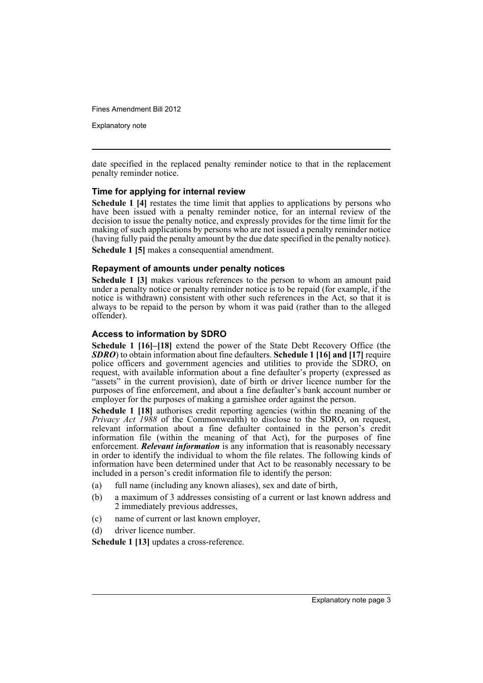Explanatory note

date specified in the replaced penalty reminder notice to that in the replacement penalty reminder notice.

#### **Time for applying for internal review**

**Schedule 1 [4]** restates the time limit that applies to applications by persons who have been issued with a penalty reminder notice, for an internal review of the decision to issue the penalty notice, and expressly provides for the time limit for the making of such applications by persons who are not issued a penalty reminder notice (having fully paid the penalty amount by the due date specified in the penalty notice).

**Schedule 1 [5]** makes a consequential amendment.

#### **Repayment of amounts under penalty notices**

**Schedule 1 [3]** makes various references to the person to whom an amount paid under a penalty notice or penalty reminder notice is to be repaid (for example, if the notice is withdrawn) consistent with other such references in the Act, so that it is always to be repaid to the person by whom it was paid (rather than to the alleged offender).

#### **Access to information by SDRO**

**Schedule 1 [16]–[18]** extend the power of the State Debt Recovery Office (the *SDRO*) to obtain information about fine defaulters. **Schedule 1 [16] and [17]** require police officers and government agencies and utilities to provide the SDRO, on request, with available information about a fine defaulter's property (expressed as "assets" in the current provision), date of birth or driver licence number for the purposes of fine enforcement, and about a fine defaulter's bank account number or employer for the purposes of making a garnishee order against the person.

**Schedule 1 [18]** authorises credit reporting agencies (within the meaning of the *Privacy Act 1988* of the Commonwealth) to disclose to the SDRO, on request, relevant information about a fine defaulter contained in the person's credit information file (within the meaning of that Act), for the purposes of fine enforcement. *Relevant information* is any information that is reasonably necessary in order to identify the individual to whom the file relates. The following kinds of information have been determined under that Act to be reasonably necessary to be included in a person's credit information file to identify the person:

- (a) full name (including any known aliases), sex and date of birth,
- (b) a maximum of 3 addresses consisting of a current or last known address and 2 immediately previous addresses,
- (c) name of current or last known employer,
- (d) driver licence number.

**Schedule 1 [13]** updates a cross-reference.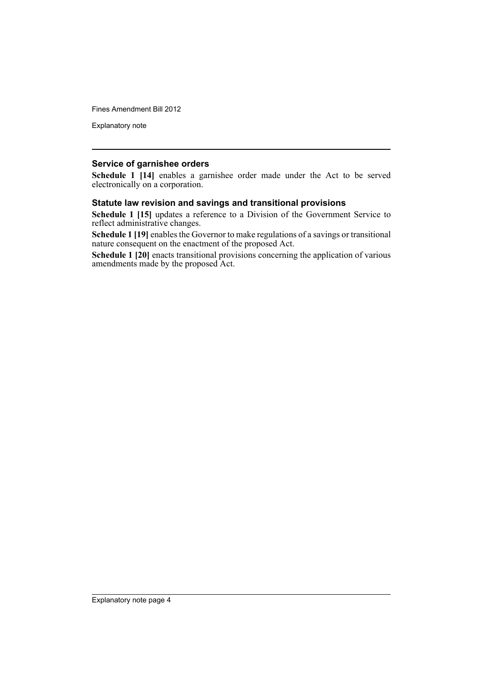Explanatory note

#### **Service of garnishee orders**

**Schedule 1 [14]** enables a garnishee order made under the Act to be served electronically on a corporation.

#### **Statute law revision and savings and transitional provisions**

**Schedule 1 [15]** updates a reference to a Division of the Government Service to reflect administrative changes.

**Schedule 1 [19]** enables the Governor to make regulations of a savings or transitional nature consequent on the enactment of the proposed Act.

**Schedule 1 [20]** enacts transitional provisions concerning the application of various amendments made by the proposed Act.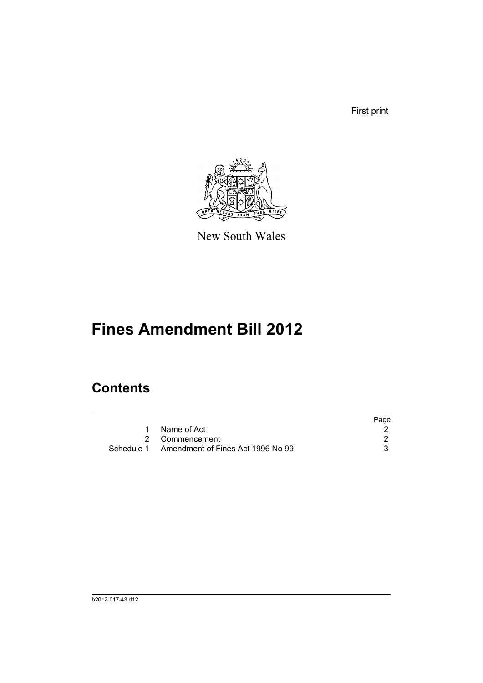First print



New South Wales

# **Fines Amendment Bill 2012**

# **Contents**

|                                              | Page |
|----------------------------------------------|------|
| 1 Name of Act                                |      |
| 2 Commencement                               |      |
| Schedule 1 Amendment of Fines Act 1996 No 99 |      |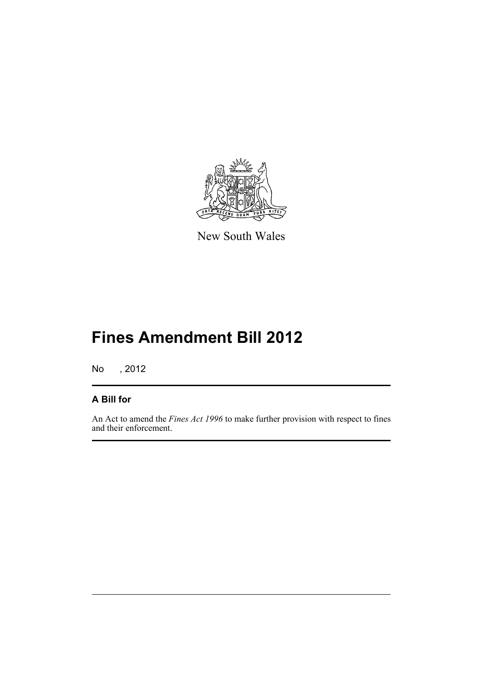

New South Wales

# **Fines Amendment Bill 2012**

No , 2012

### **A Bill for**

An Act to amend the *Fines Act 1996* to make further provision with respect to fines and their enforcement.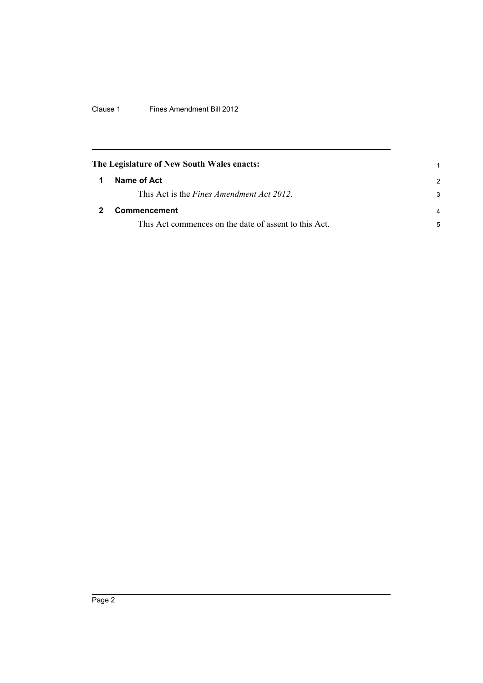Clause 1 Fines Amendment Bill 2012

<span id="page-7-1"></span><span id="page-7-0"></span>

|   | The Legislature of New South Wales enacts:            |                |
|---|-------------------------------------------------------|----------------|
| 1 | Name of Act                                           | 2              |
|   | This Act is the <i>Fines Amendment Act 2012</i> .     | 3              |
|   | <b>Commencement</b>                                   | $\overline{4}$ |
|   | This Act commences on the date of assent to this Act. | 5              |
|   |                                                       |                |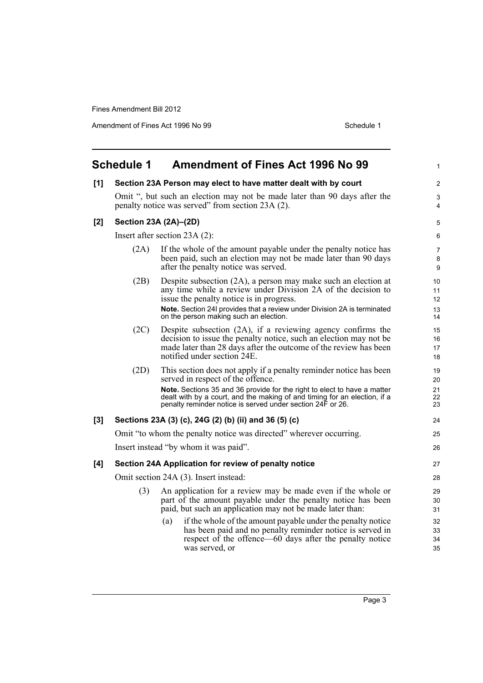Amendment of Fines Act 1996 No 99 Schedule 1

<span id="page-8-0"></span>

|     | <b>Schedule 1</b>                     | <b>Amendment of Fines Act 1996 No 99</b>                                                                                                                                                                                                                                                                                      | 1                          |
|-----|---------------------------------------|-------------------------------------------------------------------------------------------------------------------------------------------------------------------------------------------------------------------------------------------------------------------------------------------------------------------------------|----------------------------|
| [1] |                                       | Section 23A Person may elect to have matter dealt with by court                                                                                                                                                                                                                                                               | $\overline{2}$             |
|     |                                       | Omit ", but such an election may not be made later than 90 days after the<br>penalty notice was served" from section 23A (2).                                                                                                                                                                                                 | 3<br>4                     |
| [2] |                                       | Section 23A (2A)-(2D)                                                                                                                                                                                                                                                                                                         | 5                          |
|     |                                       | Insert after section 23A (2):                                                                                                                                                                                                                                                                                                 | 6                          |
|     | (2A)                                  | If the whole of the amount payable under the penalty notice has<br>been paid, such an election may not be made later than 90 days<br>after the penalty notice was served.                                                                                                                                                     | $\overline{7}$<br>8<br>9   |
|     | (2B)                                  | Despite subsection (2A), a person may make such an election at<br>any time while a review under Division 2A of the decision to<br>issue the penalty notice is in progress.<br>Note. Section 24I provides that a review under Division 2A is terminated<br>on the person making such an election.                              | 10<br>11<br>12<br>13<br>14 |
|     | (2C)                                  | Despite subsection (2A), if a reviewing agency confirms the<br>decision to issue the penalty notice, such an election may not be<br>made later than 28 days after the outcome of the review has been<br>notified under section 24E.                                                                                           | 15<br>16<br>17<br>18       |
|     | (2D)                                  | This section does not apply if a penalty reminder notice has been<br>served in respect of the offence.<br>Note. Sections 35 and 36 provide for the right to elect to have a matter<br>dealt with by a court, and the making of and timing for an election, if a<br>penalty reminder notice is served under section 24F or 26. | 19<br>20<br>21<br>22<br>23 |
| [3] |                                       | Sections 23A (3) (c), 24G (2) (b) (ii) and 36 (5) (c)                                                                                                                                                                                                                                                                         | 24                         |
|     |                                       | Omit "to whom the penalty notice was directed" wherever occurring.                                                                                                                                                                                                                                                            | 25                         |
|     | Insert instead "by whom it was paid". |                                                                                                                                                                                                                                                                                                                               | 26                         |
| [4] |                                       | Section 24A Application for review of penalty notice                                                                                                                                                                                                                                                                          | 27                         |
|     |                                       | Omit section 24A (3). Insert instead:                                                                                                                                                                                                                                                                                         | 28                         |
|     | (3)                                   | An application for a review may be made even if the whole or<br>part of the amount payable under the penalty notice has been<br>paid, but such an application may not be made later than:                                                                                                                                     | 29<br>30<br>31             |
|     |                                       | if the whole of the amount payable under the penalty notice<br>(a)<br>has been paid and no penalty reminder notice is served in<br>respect of the offence—60 days after the penalty notice<br>was served, or                                                                                                                  | 32<br>33<br>34<br>35       |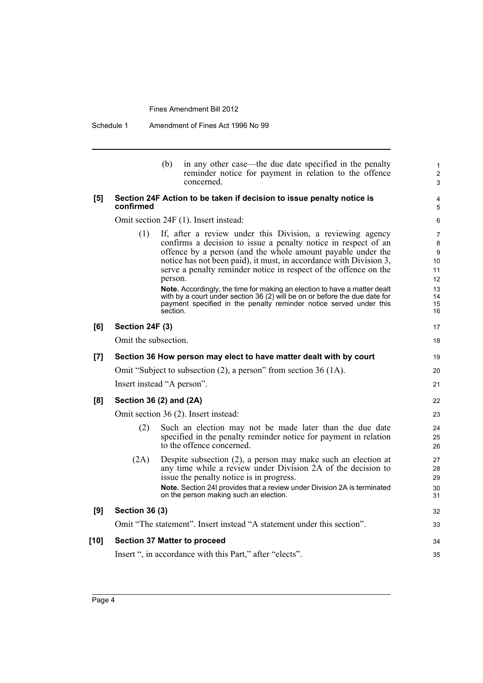Schedule 1 Amendment of Fines Act 1996 No 99

|        |                       | (b)<br>in any other case—the due date specified in the penalty<br>reminder notice for payment in relation to the offence<br>concerned.                                                                                                                                                                                                                                                                                                                                                                                                                                                        |
|--------|-----------------------|-----------------------------------------------------------------------------------------------------------------------------------------------------------------------------------------------------------------------------------------------------------------------------------------------------------------------------------------------------------------------------------------------------------------------------------------------------------------------------------------------------------------------------------------------------------------------------------------------|
| [5]    | confirmed             | Section 24F Action to be taken if decision to issue penalty notice is                                                                                                                                                                                                                                                                                                                                                                                                                                                                                                                         |
|        |                       | Omit section 24F (1). Insert instead:                                                                                                                                                                                                                                                                                                                                                                                                                                                                                                                                                         |
|        | (1)                   | If, after a review under this Division, a reviewing agency<br>confirms a decision to issue a penalty notice in respect of an<br>offence by a person (and the whole amount payable under the<br>notice has not been paid), it must, in accordance with Division 3,<br>serve a penalty reminder notice in respect of the offence on the<br>person.<br>Note. Accordingly, the time for making an election to have a matter dealt<br>with by a court under section 36 (2) will be on or before the due date for<br>payment specified in the penalty reminder notice served under this<br>section. |
| [6]    | Section 24F (3)       |                                                                                                                                                                                                                                                                                                                                                                                                                                                                                                                                                                                               |
|        | Omit the subsection.  |                                                                                                                                                                                                                                                                                                                                                                                                                                                                                                                                                                                               |
| [7]    |                       | Section 36 How person may elect to have matter dealt with by court                                                                                                                                                                                                                                                                                                                                                                                                                                                                                                                            |
|        |                       | Omit "Subject to subsection (2), a person" from section 36 (1A).                                                                                                                                                                                                                                                                                                                                                                                                                                                                                                                              |
|        |                       | Insert instead "A person".                                                                                                                                                                                                                                                                                                                                                                                                                                                                                                                                                                    |
| [8]    |                       | Section 36 (2) and (2A)                                                                                                                                                                                                                                                                                                                                                                                                                                                                                                                                                                       |
|        |                       | Omit section 36 (2). Insert instead:                                                                                                                                                                                                                                                                                                                                                                                                                                                                                                                                                          |
|        | (2)                   | Such an election may not be made later than the due date<br>specified in the penalty reminder notice for payment in relation<br>to the offence concerned.                                                                                                                                                                                                                                                                                                                                                                                                                                     |
|        | (2A)                  | Despite subsection $(2)$ , a person may make such an election at<br>any time while a review under Division 2A of the decision to<br>issue the penalty notice is in progress.<br>Note. Section 24I provides that a review under Division 2A is terminated<br>on the person making such an election.                                                                                                                                                                                                                                                                                            |
| [9]    | <b>Section 36 (3)</b> |                                                                                                                                                                                                                                                                                                                                                                                                                                                                                                                                                                                               |
|        |                       | Omit "The statement". Insert instead "A statement under this section".                                                                                                                                                                                                                                                                                                                                                                                                                                                                                                                        |
| $[10]$ |                       | <b>Section 37 Matter to proceed</b>                                                                                                                                                                                                                                                                                                                                                                                                                                                                                                                                                           |
|        |                       | Insert ", in accordance with this Part," after "elects".                                                                                                                                                                                                                                                                                                                                                                                                                                                                                                                                      |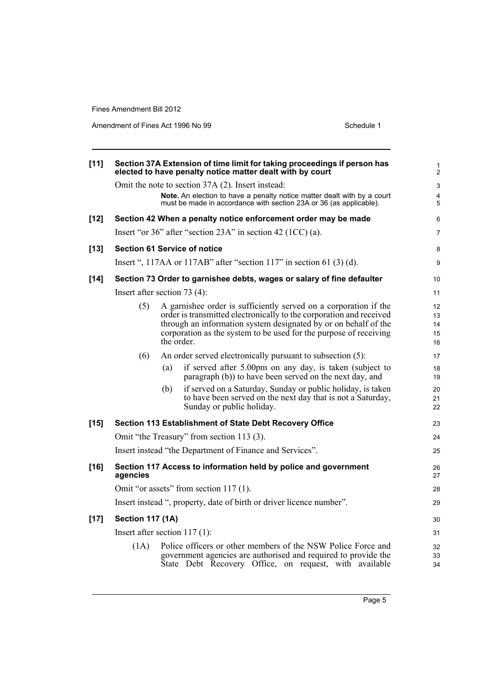Amendment of Fines Act 1996 No 99 Schedule 1

| [11]   |                         | Section 37A Extension of time limit for taking proceedings if person has<br>elected to have penalty notice matter dealt with by court                                                                                                                                                        | 1<br>$\overline{2}$        |
|--------|-------------------------|----------------------------------------------------------------------------------------------------------------------------------------------------------------------------------------------------------------------------------------------------------------------------------------------|----------------------------|
|        |                         | Omit the note to section 37A (2). Insert instead:                                                                                                                                                                                                                                            | 3                          |
|        |                         | Note. An election to have a penalty notice matter dealt with by a court<br>must be made in accordance with section 23A or 36 (as applicable).                                                                                                                                                | $\overline{4}$<br>5        |
| $[12]$ |                         | Section 42 When a penalty notice enforcement order may be made                                                                                                                                                                                                                               | 6                          |
|        |                         | Insert "or $36$ " after "section $23A$ " in section $42$ (1CC) (a).                                                                                                                                                                                                                          | $\overline{7}$             |
| $[13]$ |                         | <b>Section 61 Service of notice</b>                                                                                                                                                                                                                                                          | 8                          |
|        |                         | Insert ", 117AA or 117AB" after "section 117" in section 61 $(3)(d)$ .                                                                                                                                                                                                                       | 9                          |
| $[14]$ |                         | Section 73 Order to garnishee debts, wages or salary of fine defaulter                                                                                                                                                                                                                       | 10                         |
|        |                         | Insert after section $73(4)$ :                                                                                                                                                                                                                                                               | 11                         |
|        | (5)                     | A garnishee order is sufficiently served on a corporation if the<br>order is transmitted electronically to the corporation and received<br>through an information system designated by or on behalf of the<br>corporation as the system to be used for the purpose of receiving<br>the order | 12<br>13<br>14<br>15<br>16 |
|        | (6)                     | An order served electronically pursuant to subsection (5):                                                                                                                                                                                                                                   | 17                         |
|        |                         | if served after 5.00pm on any day, is taken (subject to<br>(a)<br>paragraph (b)) to have been served on the next day, and                                                                                                                                                                    | 18<br>19                   |
|        |                         | (b)<br>if served on a Saturday, Sunday or public holiday, is taken<br>to have been served on the next day that is not a Saturday,<br>Sunday or public holiday.                                                                                                                               | 20<br>21<br>22             |
| $[15]$ |                         | Section 113 Establishment of State Debt Recovery Office                                                                                                                                                                                                                                      | 23                         |
|        |                         | Omit "the Treasury" from section 113 (3).                                                                                                                                                                                                                                                    | 24                         |
|        |                         | Insert instead "the Department of Finance and Services".                                                                                                                                                                                                                                     | 25                         |
| $[16]$ | agencies                | Section 117 Access to information held by police and government                                                                                                                                                                                                                              | 26<br>27                   |
|        |                         | Omit "or assets" from section 117(1).                                                                                                                                                                                                                                                        | 28                         |
|        |                         | Insert instead ", property, date of birth or driver licence number".                                                                                                                                                                                                                         | 29                         |
| $[17]$ | <b>Section 117 (1A)</b> |                                                                                                                                                                                                                                                                                              | 30                         |
|        |                         | Insert after section $117(1)$ :                                                                                                                                                                                                                                                              | 31                         |
|        | (1A)                    | Police officers or other members of the NSW Police Force and<br>government agencies are authorised and required to provide the<br>State Debt Recovery Office, on request, with available                                                                                                     | 32<br>33<br>34             |
|        |                         |                                                                                                                                                                                                                                                                                              |                            |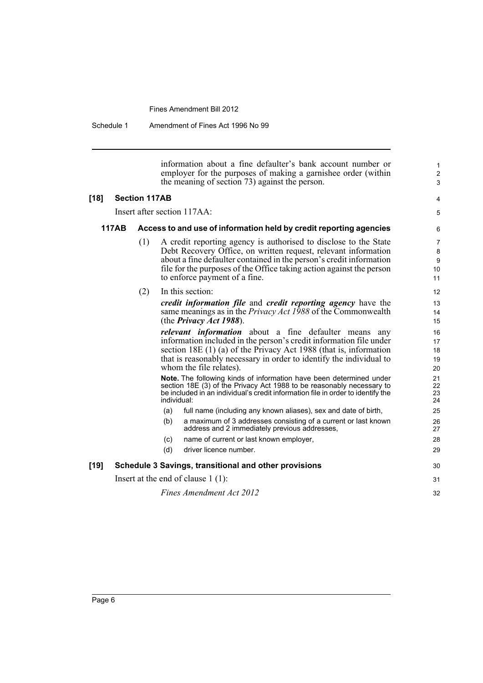Schedule 1 Amendment of Fines Act 1996 No 99

information about a fine defaulter's bank account number or employer for the purposes of making a garnishee order (within the meaning of section 73) against the person.

#### **[18] Section 117AB**

Insert after section 117AA:

#### 4 5

1 2 3

#### **117AB Access to and use of information held by credit reporting agencies**

- (1) A credit reporting agency is authorised to disclose to the State Debt Recovery Office, on written request, relevant information about a fine defaulter contained in the person's credit information file for the purposes of the Office taking action against the person to enforce payment of a fine.
- (2) In this section:

*credit information file* and *credit reporting agency* have the same meanings as in the *Privacy Act 1988* of the Commonwealth (the *Privacy Act 1988*).

*relevant information* about a fine defaulter means any information included in the person's credit information file under section 18E (1) (a) of the Privacy Act 1988 (that is, information that is reasonably necessary in order to identify the individual to whom the file relates).

**Note.** The following kinds of information have been determined under section 18E (3) of the Privacy Act 1988 to be reasonably necessary to be included in an individual's credit information file in order to identify the individual:

- (a) full name (including any known aliases), sex and date of birth,
- (b) a maximum of 3 addresses consisting of a current or last known address and 2 immediately previous addresses,
- (c) name of current or last known employer,
- (d) driver licence number.

#### **[19] Schedule 3 Savings, transitional and other provisions**

Insert at the end of clause 1 (1):

*Fines Amendment Act 2012*